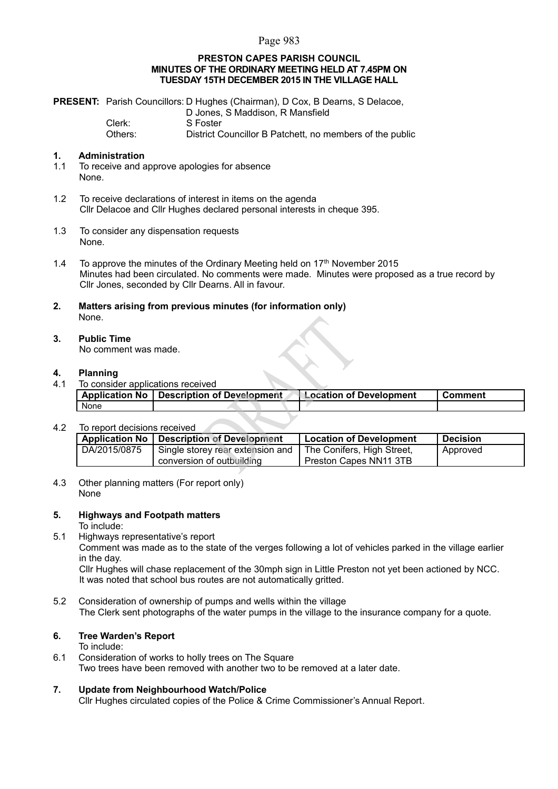## Page 983

## **PRESTON CAPES PARISH COUNCIL MINUTES OF THE ORDINARY MEETING HELD AT 7.45PM ON TUESDAY 15TH DECEMBER 2015 IN THE VILLAGE HALL**

|         | <b>PRESENT:</b> Parish Councillors: D Hughes (Chairman), D Cox, B Dearns, S Delacoe, |
|---------|--------------------------------------------------------------------------------------|
|         | D Jones, S Maddison, R Mansfield                                                     |
| Clerk:  | S Foster                                                                             |
| Others: | District Councillor B Patchett, no members of the public                             |

## **1. Administration**

- 1.1 To receive and approve apologies for absence None.
- 1.2 To receive declarations of interest in items on the agenda Cllr Delacoe and Cllr Hughes declared personal interests in cheque 395.
- 1.3 To consider any dispensation requests None.
- 1.4 To approve the minutes of the Ordinary Meeting held on  $17<sup>th</sup>$  November 2015 Minutes had been circulated. No comments were made. Minutes were proposed as a true record by Cllr Jones, seconded by Cllr Dearns. All in favour.
- **2. Matters arising from previous minutes (for information only)** None.

#### **3. Public Time** No comment was made.

## **4. Planning**

4.1 To consider applications received

|      | Application No   Description of Development | Location of Development | <b>Comment</b> |
|------|---------------------------------------------|-------------------------|----------------|
| None |                                             |                         |                |

### 4.2 To report decisions received

|              | Application No   Description of Development | Location of Development       | Decision |
|--------------|---------------------------------------------|-------------------------------|----------|
| DA/2015/0875 | I Single storey rear extension and          | The Conifers, High Street,    | Approved |
|              | conversion of outbuilding                   | <b>Preston Capes NN11 3TB</b> |          |

4.3 Other planning matters (For report only) None

## **5. Highways and Footpath matters**

To include:

5.1 Highways representative's report

Comment was made as to the state of the verges following a lot of vehicles parked in the village earlier in the day.

Cllr Hughes will chase replacement of the 30mph sign in Little Preston not yet been actioned by NCC. It was noted that school bus routes are not automatically gritted.

5.2 Consideration of ownership of pumps and wells within the village The Clerk sent photographs of the water pumps in the village to the insurance company for a quote.

# **6. Tree Warden's Report**

To include:

- 6.1 Consideration of works to holly trees on The Square Two trees have been removed with another two to be removed at a later date.
- **7. Update from Neighbourhood Watch/Police** Cllr Hughes circulated copies of the Police & Crime Commissioner's Annual Report.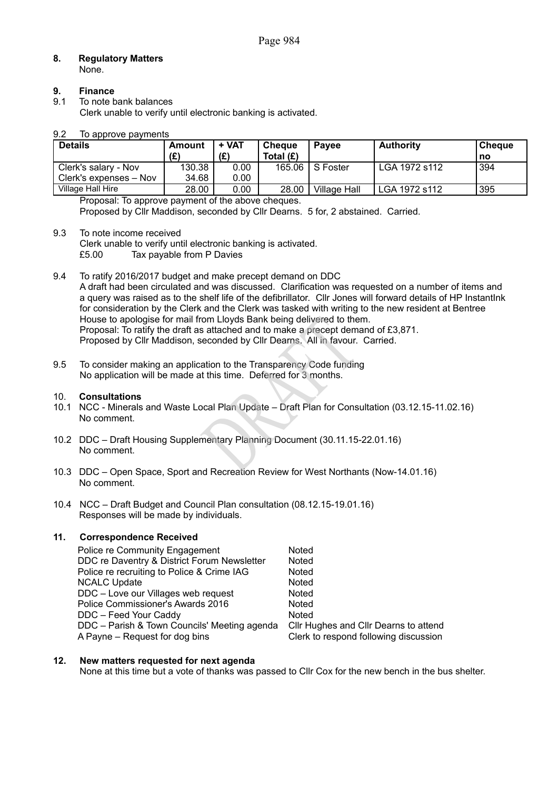#### **8. Regulatory Matters** None.

# **9. Finance**

9.1 To note bank balances

Clerk unable to verify until electronic banking is activated.

## 9.2 To approve payments

| <b>Details</b>         | Amount | + VAT | <b>Cheque</b> | <b>Pavee</b>        | <b>Authority</b> | l Cheaue |
|------------------------|--------|-------|---------------|---------------------|------------------|----------|
|                        | (£)    | (E)   | Total $(E)$   |                     |                  | l no     |
| Clerk's salary - Nov   | 130.38 | 0.00  | 165.06        | S Foster            | LGA 1972 s112    | 394      |
| Clerk's expenses – Nov | 34.68  | 0.00  |               |                     |                  |          |
| Village Hall Hire      | 28.00  | 0.00  | 28.00         | <b>Village Hall</b> | LGA 1972 s112    | 395      |
|                        |        |       |               |                     |                  |          |

Proposal: To approve payment of the above cheques. Proposed by Cllr Maddison, seconded by Cllr Dearns. 5 for, 2 abstained. Carried.

9.3 To note income received Clerk unable to verify until electronic banking is activated. £5.00 Tax payable from P Davies

9.4 To ratify 2016/2017 budget and make precept demand on DDC A draft had been circulated and was discussed. Clarification was requested on a number of items and a query was raised as to the shelf life of the defibrillator. Cllr Jones will forward details of HP InstantInk for consideration by the Clerk and the Clerk was tasked with writing to the new resident at Bentree House to apologise for mail from Lloyds Bank being delivered to them. Proposal: To ratify the draft as attached and to make a precept demand of £3,871. Proposed by Cllr Maddison, seconded by Cllr Dearns. All in favour. Carried.

9.5 To consider making an application to the Transparency Code funding No application will be made at this time. Deferred for 3 months.

## 10. **Consultations**

- 10.1 NCC Minerals and Waste Local Plan Update Draft Plan for Consultation (03.12.15-11.02.16) No comment.
- 10.2 DDC Draft Housing Supplementary Planning Document (30.11.15-22.01.16) No comment.
- 10.3 DDC Open Space, Sport and Recreation Review for West Northants (Now-14.01.16) No comment.
- 10.4 NCC Draft Budget and Council Plan consultation (08.12.15-19.01.16) Responses will be made by individuals.

# **11. Correspondence Received**

| Police re Community Engagement               | Noted                                 |
|----------------------------------------------|---------------------------------------|
| DDC re Daventry & District Forum Newsletter  | Noted                                 |
| Police re recruiting to Police & Crime IAG   | Noted                                 |
| <b>NCALC Update</b>                          | Noted                                 |
| DDC - Love our Villages web request          | Noted                                 |
| Police Commissioner's Awards 2016            | Noted                                 |
| DDC - Feed Your Caddy                        | Noted                                 |
| DDC - Parish & Town Councils' Meeting agenda | Cllr Hughes and Cllr Dearns to attend |
| A Payne – Request for dog bins               | Clerk to respond following discussion |

## **12. New matters requested for next agenda**

None at this time but a vote of thanks was passed to Cllr Cox for the new bench in the bus shelter.